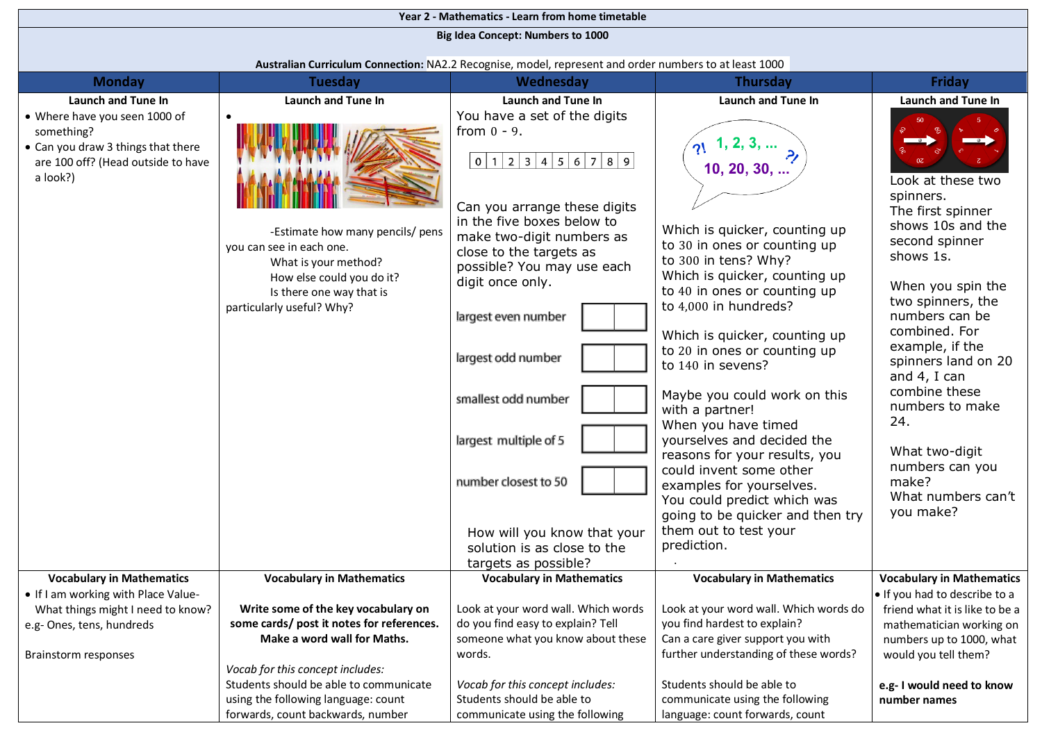| Year 2 - Mathematics - Learn from home timetable                                                                                    |                                                                                                                                                                            |                                                                                                                                                                                                                                                                                                                                                                                                                                                          |                                                                                                                                                                                                                                                                                                                                                                                                                                                                                                                                                                                                                      |                                                                                                                                                                                                                                                                                                                                                                            |  |  |  |  |  |  |
|-------------------------------------------------------------------------------------------------------------------------------------|----------------------------------------------------------------------------------------------------------------------------------------------------------------------------|----------------------------------------------------------------------------------------------------------------------------------------------------------------------------------------------------------------------------------------------------------------------------------------------------------------------------------------------------------------------------------------------------------------------------------------------------------|----------------------------------------------------------------------------------------------------------------------------------------------------------------------------------------------------------------------------------------------------------------------------------------------------------------------------------------------------------------------------------------------------------------------------------------------------------------------------------------------------------------------------------------------------------------------------------------------------------------------|----------------------------------------------------------------------------------------------------------------------------------------------------------------------------------------------------------------------------------------------------------------------------------------------------------------------------------------------------------------------------|--|--|--|--|--|--|
|                                                                                                                                     | <b>Big Idea Concept: Numbers to 1000</b>                                                                                                                                   |                                                                                                                                                                                                                                                                                                                                                                                                                                                          |                                                                                                                                                                                                                                                                                                                                                                                                                                                                                                                                                                                                                      |                                                                                                                                                                                                                                                                                                                                                                            |  |  |  |  |  |  |
|                                                                                                                                     | Australian Curriculum Connection: NA2.2 Recognise, model, represent and order numbers to at least 1000                                                                     |                                                                                                                                                                                                                                                                                                                                                                                                                                                          |                                                                                                                                                                                                                                                                                                                                                                                                                                                                                                                                                                                                                      |                                                                                                                                                                                                                                                                                                                                                                            |  |  |  |  |  |  |
| <b>Monday</b>                                                                                                                       | <b>Tuesday</b>                                                                                                                                                             | Wednesday                                                                                                                                                                                                                                                                                                                                                                                                                                                | <b>Thursday</b>                                                                                                                                                                                                                                                                                                                                                                                                                                                                                                                                                                                                      | <b>Friday</b>                                                                                                                                                                                                                                                                                                                                                              |  |  |  |  |  |  |
| <b>Launch and Tune In</b>                                                                                                           | <b>Launch and Tune In</b>                                                                                                                                                  | <b>Launch and Tune In</b>                                                                                                                                                                                                                                                                                                                                                                                                                                | <b>Launch and Tune In</b>                                                                                                                                                                                                                                                                                                                                                                                                                                                                                                                                                                                            | <b>Launch and Tune In</b>                                                                                                                                                                                                                                                                                                                                                  |  |  |  |  |  |  |
| • Where have you seen 1000 of<br>something?<br>• Can you draw 3 things that there<br>are 100 off? (Head outside to have<br>a look?) | -Estimate how many pencils/ pens<br>you can see in each one.<br>What is your method?<br>How else could you do it?<br>Is there one way that is<br>particularly useful? Why? | You have a set of the digits<br>from $0 - 9$ .<br>0 1 2 3 4 5 6 7 8 9<br>Can you arrange these digits<br>in the five boxes below to<br>make two-digit numbers as<br>close to the targets as<br>possible? You may use each<br>digit once only.<br>largest even number<br>largest odd number<br>smallest odd number<br>largest multiple of 5<br>number closest to 50<br>How will you know that your<br>solution is as close to the<br>targets as possible? | $\gamma$ 1, 2, 3,<br>10, 20, 30,<br>Which is quicker, counting up<br>to 30 in ones or counting up<br>to 300 in tens? Why?<br>Which is quicker, counting up<br>to 40 in ones or counting up<br>to 4,000 in hundreds?<br>Which is quicker, counting up<br>to 20 in ones or counting up<br>to 140 in sevens?<br>Maybe you could work on this<br>with a partner!<br>When you have timed<br>yourselves and decided the<br>reasons for your results, you<br>could invent some other<br>examples for yourselves.<br>You could predict which was<br>going to be quicker and then try<br>them out to test your<br>prediction. | Look at these two<br>spinners.<br>The first spinner<br>shows 10s and the<br>second spinner<br>shows 1s.<br>When you spin the<br>two spinners, the<br>numbers can be<br>combined. For<br>example, if the<br>spinners land on 20<br>and 4, I can<br>combine these<br>numbers to make<br>24.<br>What two-digit<br>numbers can you<br>make?<br>What numbers can't<br>you make? |  |  |  |  |  |  |
| <b>Vocabulary in Mathematics</b><br>• If I am working with Place Value-                                                             | <b>Vocabulary in Mathematics</b>                                                                                                                                           | <b>Vocabulary in Mathematics</b>                                                                                                                                                                                                                                                                                                                                                                                                                         | <b>Vocabulary in Mathematics</b>                                                                                                                                                                                                                                                                                                                                                                                                                                                                                                                                                                                     | <b>Vocabulary in Mathematics</b>                                                                                                                                                                                                                                                                                                                                           |  |  |  |  |  |  |
| What things might I need to know?                                                                                                   | Write some of the key vocabulary on                                                                                                                                        | Look at your word wall. Which words                                                                                                                                                                                                                                                                                                                                                                                                                      | Look at your word wall. Which words do                                                                                                                                                                                                                                                                                                                                                                                                                                                                                                                                                                               | . If you had to describe to a<br>friend what it is like to be a                                                                                                                                                                                                                                                                                                            |  |  |  |  |  |  |
| e.g- Ones, tens, hundreds                                                                                                           | some cards/ post it notes for references.                                                                                                                                  | do you find easy to explain? Tell                                                                                                                                                                                                                                                                                                                                                                                                                        | you find hardest to explain?                                                                                                                                                                                                                                                                                                                                                                                                                                                                                                                                                                                         | mathematician working on                                                                                                                                                                                                                                                                                                                                                   |  |  |  |  |  |  |
|                                                                                                                                     | Make a word wall for Maths.                                                                                                                                                | someone what you know about these                                                                                                                                                                                                                                                                                                                                                                                                                        | Can a care giver support you with                                                                                                                                                                                                                                                                                                                                                                                                                                                                                                                                                                                    | numbers up to 1000, what                                                                                                                                                                                                                                                                                                                                                   |  |  |  |  |  |  |
| Brainstorm responses                                                                                                                |                                                                                                                                                                            | words.                                                                                                                                                                                                                                                                                                                                                                                                                                                   | further understanding of these words?                                                                                                                                                                                                                                                                                                                                                                                                                                                                                                                                                                                | would you tell them?                                                                                                                                                                                                                                                                                                                                                       |  |  |  |  |  |  |
|                                                                                                                                     | Vocab for this concept includes:<br>Students should be able to communicate                                                                                                 | Vocab for this concept includes:                                                                                                                                                                                                                                                                                                                                                                                                                         | Students should be able to                                                                                                                                                                                                                                                                                                                                                                                                                                                                                                                                                                                           | e.g- I would need to know                                                                                                                                                                                                                                                                                                                                                  |  |  |  |  |  |  |
|                                                                                                                                     | using the following language: count                                                                                                                                        | Students should be able to                                                                                                                                                                                                                                                                                                                                                                                                                               | communicate using the following                                                                                                                                                                                                                                                                                                                                                                                                                                                                                                                                                                                      | number names                                                                                                                                                                                                                                                                                                                                                               |  |  |  |  |  |  |
|                                                                                                                                     | forwards, count backwards, number                                                                                                                                          | communicate using the following                                                                                                                                                                                                                                                                                                                                                                                                                          | language: count forwards, count                                                                                                                                                                                                                                                                                                                                                                                                                                                                                                                                                                                      |                                                                                                                                                                                                                                                                                                                                                                            |  |  |  |  |  |  |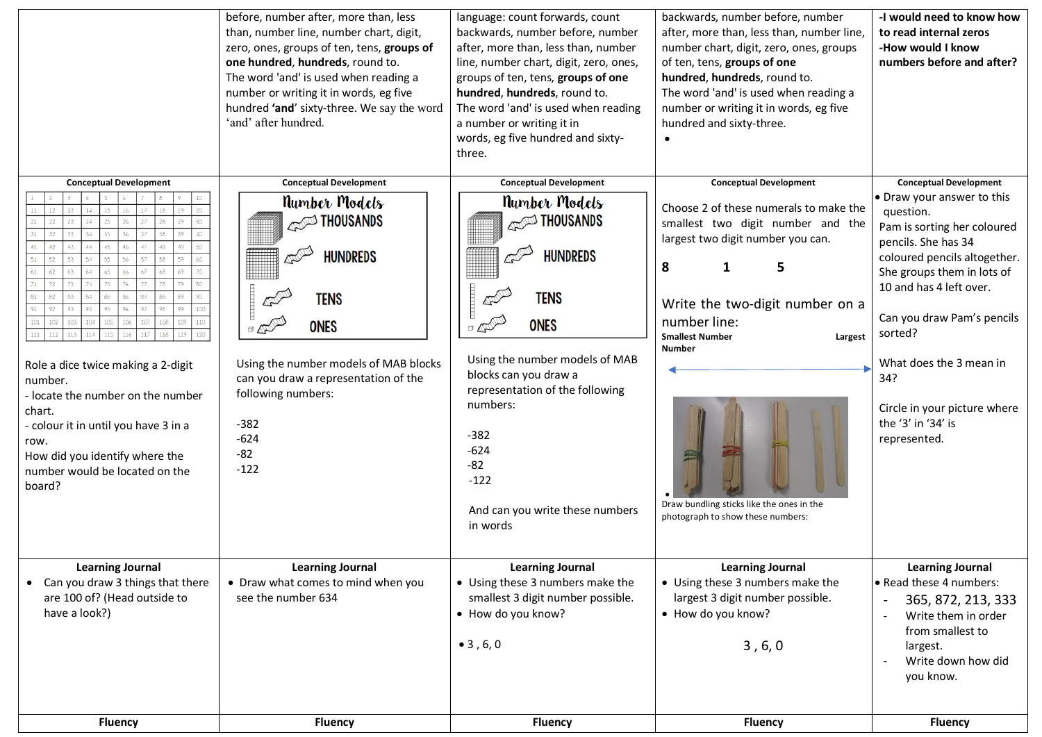|                                                                                                                                                                                                                                                                                                                                                                                                                                                                                                       | before, number after, more than, less<br>than, number line, number chart, digit,<br>zero, ones, groups of ten, tens, groups of<br>one hundred, hundreds, round to.<br>The word 'and' is used when reading a<br>number or writing it in words, eg five<br>hundred 'and' sixty-three. We say the word<br>'and' after hundred.                                                                                                                                                                                                                                                                                                                              | language: count forwards, count<br>backwards, number before, number<br>after, more than, less than, number<br>line, number chart, digit, zero, ones,<br>groups of ten, tens, groups of one<br>hundred, hundreds, round to.<br>The word 'and' is used when reading<br>a number or writing it in<br>words, eg five hundred and sixty-<br>three.                 | backwards, number before, number<br>after, more than, less than, number line,<br>number chart, digit, zero, ones, groups<br>of ten, tens, groups of one<br>hundred, hundreds, round to.<br>The word 'and' is used when reading a<br>number or writing it in words, eg five<br>hundred and sixty-three.                                                      | -I would need to know how<br>to read internal zeros<br>-How would I know<br>numbers before and after?                                                                                                                                                                                                                                                                    |
|-------------------------------------------------------------------------------------------------------------------------------------------------------------------------------------------------------------------------------------------------------------------------------------------------------------------------------------------------------------------------------------------------------------------------------------------------------------------------------------------------------|----------------------------------------------------------------------------------------------------------------------------------------------------------------------------------------------------------------------------------------------------------------------------------------------------------------------------------------------------------------------------------------------------------------------------------------------------------------------------------------------------------------------------------------------------------------------------------------------------------------------------------------------------------|---------------------------------------------------------------------------------------------------------------------------------------------------------------------------------------------------------------------------------------------------------------------------------------------------------------------------------------------------------------|-------------------------------------------------------------------------------------------------------------------------------------------------------------------------------------------------------------------------------------------------------------------------------------------------------------------------------------------------------------|--------------------------------------------------------------------------------------------------------------------------------------------------------------------------------------------------------------------------------------------------------------------------------------------------------------------------------------------------------------------------|
| <b>Conceptual Development</b><br>10 <sup>1</sup><br>23<br>41<br>42<br>43<br>44<br>47<br>49<br>61<br>63<br>69<br>91<br>100 <sub>1</sub><br>92<br>93.<br>94<br>97<br>98<br>99<br>$101\,$<br>102<br>103<br>801<br>110<br>107<br>109<br>$111\,$<br>112<br>113<br>116<br>119<br>Role a dice twice making a 2-digit<br>number.<br>- locate the number on the number<br>chart.<br>- colour it in until you have 3 in a<br>row.<br>How did you identify where the<br>number would be located on the<br>board? | <b>Conceptual Development</b><br><b>Number Models</b><br><b>ANGLES</b> THOUSANDS<br>$\overline{a}$<br><b>HUNDREDS</b><br><b>TENS</b><br>$\begin{picture}(180,10) \put(0,0){\line(1,0){10}} \put(10,0){\line(1,0){10}} \put(10,0){\line(1,0){10}} \put(10,0){\line(1,0){10}} \put(10,0){\line(1,0){10}} \put(10,0){\line(1,0){10}} \put(10,0){\line(1,0){10}} \put(10,0){\line(1,0){10}} \put(10,0){\line(1,0){10}} \put(10,0){\line(1,0){10}} \put(10,0){\line(1,0){10}} \put(10,0){\line($<br><b>ONES</b><br>Using the number models of MAB blocks<br>can you draw a representation of the<br>following numbers:<br>$-382$<br>$-624$<br>$-82$<br>$-122$ | <b>Conceptual Development</b><br><b>Number Models</b><br><b>ANGLES</b> THOUSANDS<br><b>HUNDREDS</b><br><b>TENS</b><br><b>ONES</b><br>$\mathbb{Q}(\mathbb{Q})$<br>Using the number models of MAB<br>blocks can you draw a<br>representation of the following<br>numbers:<br>$-382$<br>$-624$<br>$-82$<br>$-122$<br>And can you write these numbers<br>in words | <b>Conceptual Development</b><br>Choose 2 of these numerals to make the<br>smallest two digit number and the<br>largest two digit number you can.<br>8<br>5<br>1<br>Write the two-digit number on a<br>number line:<br><b>Smallest Number</b><br>Largest<br><b>Number</b><br>Draw bundling sticks like the ones in the<br>photograph to show these numbers: | <b>Conceptual Development</b><br>• Draw your answer to this<br>question.<br>Pam is sorting her coloured<br>pencils. She has 34<br>coloured pencils altogether.<br>She groups them in lots of<br>10 and has 4 left over.<br>Can you draw Pam's pencils<br>sorted?<br>What does the 3 mean in<br>34?<br>Circle in your picture where<br>the '3' in '34' is<br>represented. |
| <b>Learning Journal</b><br>• Can you draw 3 things that there<br>are 100 of? (Head outside to<br>have a look?)<br><b>Fluency</b>                                                                                                                                                                                                                                                                                                                                                                      | <b>Learning Journal</b><br>• Draw what comes to mind when you<br>see the number 634<br><b>Fluency</b>                                                                                                                                                                                                                                                                                                                                                                                                                                                                                                                                                    | <b>Learning Journal</b><br>• Using these 3 numbers make the<br>smallest 3 digit number possible.<br>• How do you know?<br>$\bullet$ 3, 6, 0<br><b>Fluency</b>                                                                                                                                                                                                 | <b>Learning Journal</b><br>• Using these 3 numbers make the<br>largest 3 digit number possible.<br>• How do you know?<br>3, 6, 0<br><b>Fluency</b>                                                                                                                                                                                                          | <b>Learning Journal</b><br>Read these 4 numbers:<br>365, 872, 213, 333<br>$\overline{\phantom{a}}$<br>Write them in order<br>$\blacksquare$<br>from smallest to<br>largest.<br>Write down how did<br>$\overline{\phantom{a}}$<br>you know.<br><b>Fluency</b>                                                                                                             |